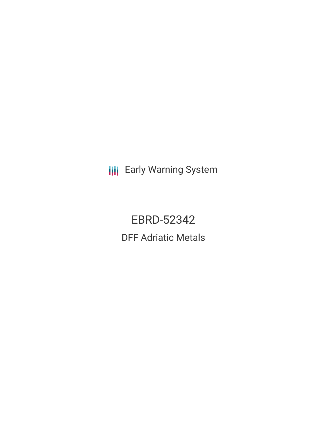**III** Early Warning System

EBRD-52342 DFF Adriatic Metals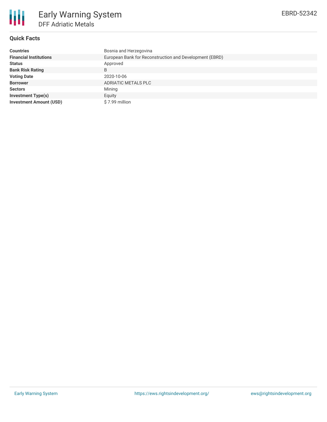

# **Quick Facts**

| <b>Countries</b>               | Bosnia and Herzegovina                                  |
|--------------------------------|---------------------------------------------------------|
| <b>Financial Institutions</b>  | European Bank for Reconstruction and Development (EBRD) |
| <b>Status</b>                  | Approved                                                |
| <b>Bank Risk Rating</b>        | B                                                       |
| <b>Voting Date</b>             | 2020-10-06                                              |
| <b>Borrower</b>                | ADRIATIC METALS PLC                                     |
| <b>Sectors</b>                 | Mining                                                  |
| <b>Investment Type(s)</b>      | Equity                                                  |
| <b>Investment Amount (USD)</b> | \$7.99 million                                          |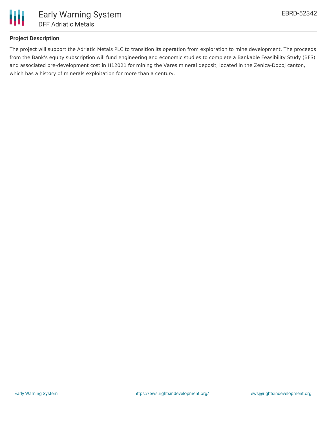

## **Project Description**

The project will support the Adriatic Metals PLC to transition its operation from exploration to mine development. The proceeds from the Bank's equity subscription will fund engineering and economic studies to complete a Bankable Feasibility Study (BFS) and associated pre-development cost in H12021 for mining the Vares mineral deposit, located in the Zenica-Doboj canton, which has a history of minerals exploitation for more than a century.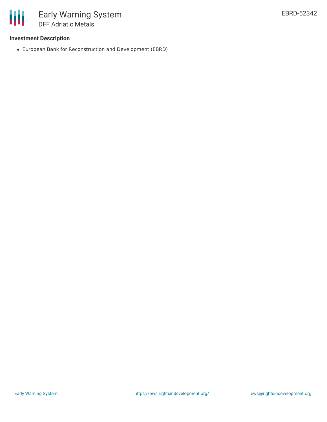

### **Investment Description**

European Bank for Reconstruction and Development (EBRD)